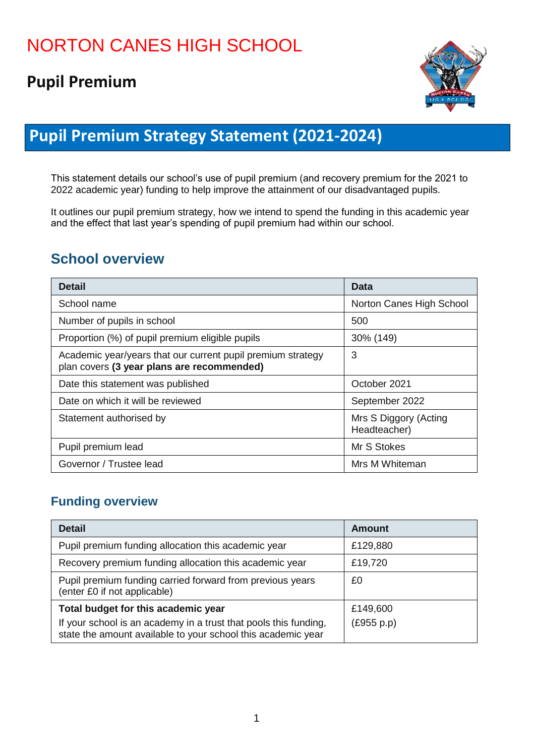# **Pupil Premium**



## **Pupil Premium Strategy Statement (2021-2024)**

This statement details our school's use of pupil premium (and recovery premium for the 2021 to 2022 academic year) funding to help improve the attainment of our disadvantaged pupils.

It outlines our pupil premium strategy, how we intend to spend the funding in this academic year and the effect that last year's spending of pupil premium had within our school.

#### **School overview**

| <b>Detail</b>                                                                                             | Data                                  |
|-----------------------------------------------------------------------------------------------------------|---------------------------------------|
| School name                                                                                               | Norton Canes High School              |
| Number of pupils in school                                                                                | 500                                   |
| Proportion (%) of pupil premium eligible pupils                                                           | 30% (149)                             |
| Academic year/years that our current pupil premium strategy<br>plan covers (3 year plans are recommended) | 3                                     |
| Date this statement was published                                                                         | October 2021                          |
| Date on which it will be reviewed                                                                         | September 2022                        |
| Statement authorised by                                                                                   | Mrs S Diggory (Acting<br>Headteacher) |
| Pupil premium lead                                                                                        | Mr S Stokes                           |
| Governor / Trustee lead                                                                                   | Mrs M Whiteman                        |

#### **Funding overview**

| <b>Detail</b>                                                                                                                    | <b>Amount</b> |
|----------------------------------------------------------------------------------------------------------------------------------|---------------|
| Pupil premium funding allocation this academic year                                                                              | £129,880      |
| Recovery premium funding allocation this academic year                                                                           | £19,720       |
| Pupil premium funding carried forward from previous years<br>(enter £0 if not applicable)                                        | £0            |
| Total budget for this academic year                                                                                              | £149,600      |
| If your school is an academy in a trust that pools this funding,<br>state the amount available to your school this academic year | (E955 p.p)    |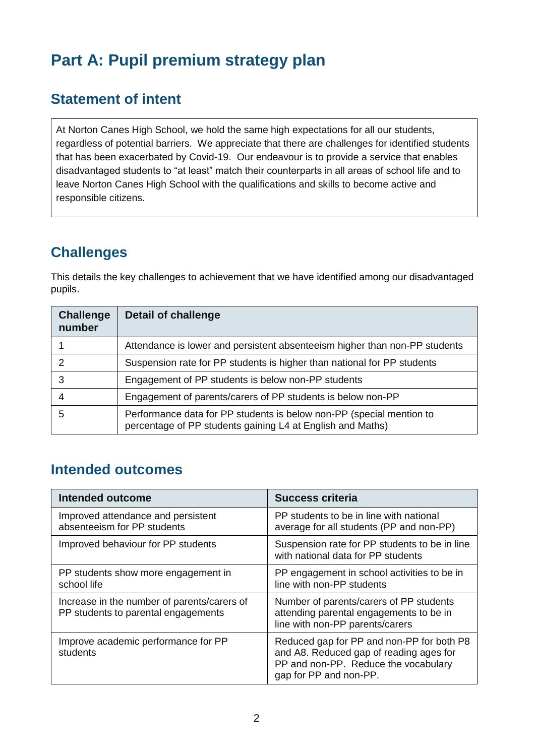# **Part A: Pupil premium strategy plan**

#### **Statement of intent**

At Norton Canes High School, we hold the same high expectations for all our students, regardless of potential barriers. We appreciate that there are challenges for identified students that has been exacerbated by Covid-19. Our endeavour is to provide a service that enables disadvantaged students to "at least" match their counterparts in all areas of school life and to leave Norton Canes High School with the qualifications and skills to become active and responsible citizens.

### **Challenges**

This details the key challenges to achievement that we have identified among our disadvantaged pupils.

| <b>Challenge</b><br>number | <b>Detail of challenge</b>                                                                                                         |
|----------------------------|------------------------------------------------------------------------------------------------------------------------------------|
|                            | Attendance is lower and persistent absenteeism higher than non-PP students                                                         |
| 2                          | Suspension rate for PP students is higher than national for PP students                                                            |
| 3                          | Engagement of PP students is below non-PP students                                                                                 |
|                            | Engagement of parents/carers of PP students is below non-PP                                                                        |
| 5                          | Performance data for PP students is below non-PP (special mention to<br>percentage of PP students gaining L4 at English and Maths) |

#### **Intended outcomes**

| Intended outcome                                                                   | <b>Success criteria</b>                                                                                                                                |
|------------------------------------------------------------------------------------|--------------------------------------------------------------------------------------------------------------------------------------------------------|
| Improved attendance and persistent<br>absenteeism for PP students                  | PP students to be in line with national<br>average for all students (PP and non-PP)                                                                    |
| Improved behaviour for PP students                                                 | Suspension rate for PP students to be in line<br>with national data for PP students                                                                    |
| PP students show more engagement in<br>school life                                 | PP engagement in school activities to be in<br>line with non-PP students                                                                               |
| Increase in the number of parents/carers of<br>PP students to parental engagements | Number of parents/carers of PP students<br>attending parental engagements to be in<br>line with non-PP parents/carers                                  |
| Improve academic performance for PP<br>students                                    | Reduced gap for PP and non-PP for both P8<br>and A8. Reduced gap of reading ages for<br>PP and non-PP. Reduce the vocabulary<br>gap for PP and non-PP. |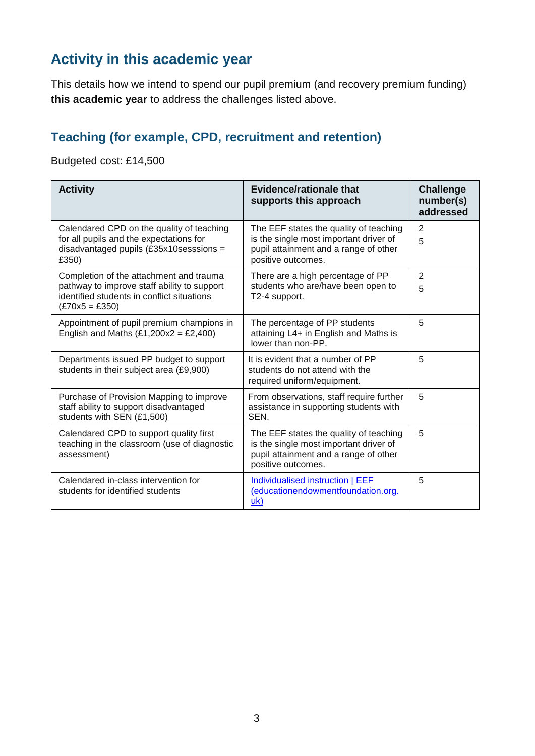### **Activity in this academic year**

This details how we intend to spend our pupil premium (and recovery premium funding) **this academic year** to address the challenges listed above.

#### **Teaching (for example, CPD, recruitment and retention)**

Budgeted cost: £14,500

| <b>Activity</b>                                                                                                                                          | Evidence/rationale that<br>supports this approach                                                                                               | <b>Challenge</b><br>number(s)<br>addressed |
|----------------------------------------------------------------------------------------------------------------------------------------------------------|-------------------------------------------------------------------------------------------------------------------------------------------------|--------------------------------------------|
| Calendared CPD on the quality of teaching<br>for all pupils and the expectations for<br>disadvantaged pupils $(£35x10$ sesssions =<br>£350)              | The EEF states the quality of teaching<br>is the single most important driver of<br>pupil attainment and a range of other<br>positive outcomes. | 2<br>5                                     |
| Completion of the attachment and trauma<br>pathway to improve staff ability to support<br>identified students in conflict situations<br>$(E70x5 = E350)$ | There are a high percentage of PP<br>students who are/have been open to<br>T2-4 support.                                                        | $\overline{2}$<br>5                        |
| Appointment of pupil premium champions in<br>English and Maths $(E1,200x2 = E2,400)$                                                                     | The percentage of PP students<br>attaining L4+ in English and Maths is<br>lower than non-PP.                                                    | 5                                          |
| Departments issued PP budget to support<br>students in their subject area (£9,900)                                                                       | It is evident that a number of PP<br>students do not attend with the<br>required uniform/equipment.                                             | 5                                          |
| Purchase of Provision Mapping to improve<br>staff ability to support disadvantaged<br>students with SEN (£1,500)                                         | From observations, staff require further<br>assistance in supporting students with<br>SEN.                                                      | 5                                          |
| Calendared CPD to support quality first<br>teaching in the classroom (use of diagnostic<br>assessment)                                                   | The EEF states the quality of teaching<br>is the single most important driver of<br>pupil attainment and a range of other<br>positive outcomes. | 5                                          |
| Calendared in-class intervention for<br>students for identified students                                                                                 | Individualised instruction   EEF<br>(educationendowmentfoundation.org.<br>uk)                                                                   | 5                                          |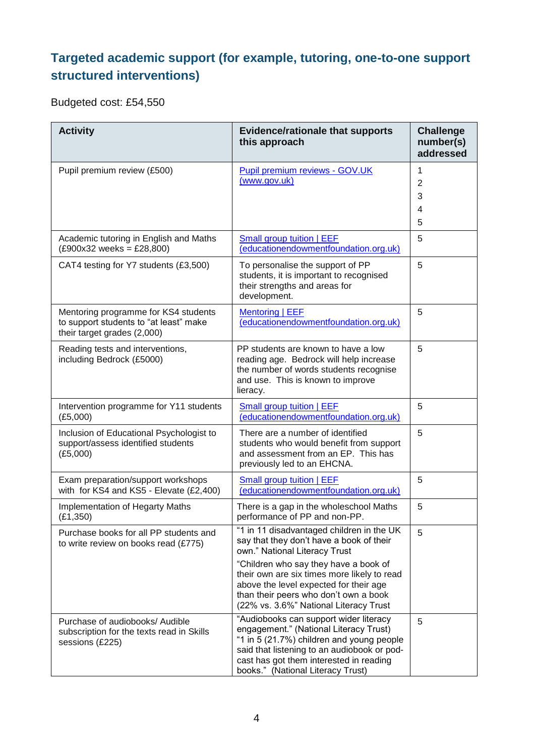#### **Targeted academic support (for example, tutoring, one-to-one support structured interventions)**

Budgeted cost: £54,550

| <b>Activity</b>                                                                                               | <b>Evidence/rationale that supports</b><br>this approach                                                                                                                                                                                                                                                                                    | <b>Challenge</b><br>number(s)<br>addressed |
|---------------------------------------------------------------------------------------------------------------|---------------------------------------------------------------------------------------------------------------------------------------------------------------------------------------------------------------------------------------------------------------------------------------------------------------------------------------------|--------------------------------------------|
| Pupil premium review (£500)                                                                                   | Pupil premium reviews - GOV.UK<br>(www.gov.uk)                                                                                                                                                                                                                                                                                              | 1<br>$\overline{2}$<br>3<br>4<br>5         |
| Academic tutoring in English and Maths<br>$(E900x32 \text{ weeks} = E28,800)$                                 | <b>Small group tuition   EEF</b><br>(educationendowmentfoundation.org.uk)                                                                                                                                                                                                                                                                   | 5                                          |
| CAT4 testing for Y7 students (£3,500)                                                                         | To personalise the support of PP<br>students, it is important to recognised<br>their strengths and areas for<br>development.                                                                                                                                                                                                                | 5                                          |
| Mentoring programme for KS4 students<br>to support students to "at least" make<br>their target grades (2,000) | <b>Mentoring   EEF</b><br>(educationendowmentfoundation.org.uk)                                                                                                                                                                                                                                                                             | 5                                          |
| Reading tests and interventions,<br>including Bedrock (£5000)                                                 | PP students are known to have a low<br>reading age. Bedrock will help increase<br>the number of words students recognise<br>and use. This is known to improve<br>lieracy.                                                                                                                                                                   | 5                                          |
| Intervention programme for Y11 students<br>(E5,000)                                                           | Small group tuition   EEF<br>(educationendowmentfoundation.org.uk)                                                                                                                                                                                                                                                                          | 5                                          |
| Inclusion of Educational Psychologist to<br>support/assess identified students<br>(E5,000)                    | There are a number of identified<br>students who would benefit from support<br>and assessment from an EP. This has<br>previously led to an EHCNA.                                                                                                                                                                                           | 5                                          |
| Exam preparation/support workshops<br>with for KS4 and KS5 - Elevate (£2,400)                                 | <b>Small group tuition   EEF</b><br>(educationendowmentfoundation.org.uk)                                                                                                                                                                                                                                                                   | 5                                          |
| Implementation of Hegarty Maths<br>(E1, 350)                                                                  | There is a gap in the wholeschool Maths<br>performance of PP and non-PP.                                                                                                                                                                                                                                                                    | 5                                          |
| Purchase books for all PP students and<br>to write review on books read (£775)                                | "1 in 11 disadvantaged children in the UK<br>say that they don't have a book of their<br>own." National Literacy Trust<br>"Children who say they have a book of<br>their own are six times more likely to read<br>above the level expected for their age<br>than their peers who don't own a book<br>(22% vs. 3.6%" National Literacy Trust | 5                                          |
| Purchase of audiobooks/ Audible<br>subscription for the texts read in Skills<br>sessions (£225)               | "Audiobooks can support wider literacy<br>engagement." (National Literacy Trust)<br>"1 in 5 (21.7%) children and young people<br>said that listening to an audiobook or pod-<br>cast has got them interested in reading<br>books." (National Literacy Trust)                                                                                | 5                                          |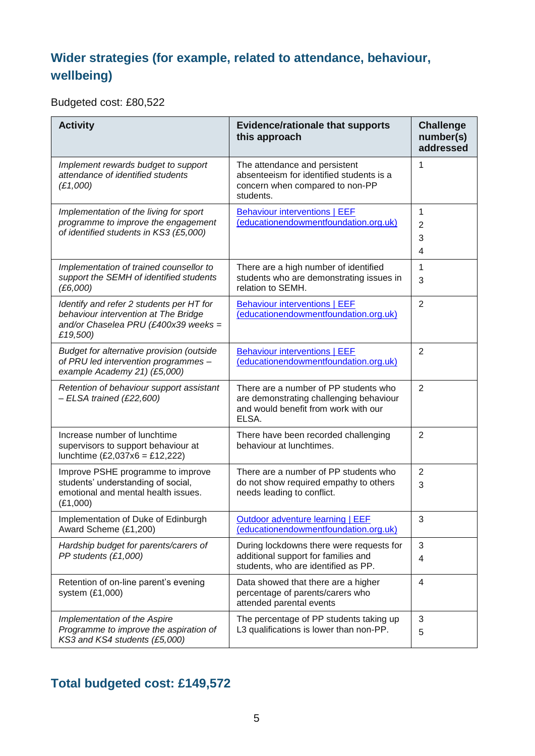#### **Wider strategies (for example, related to attendance, behaviour, wellbeing)**

Budgeted cost: £80,522

| <b>Activity</b>                                                                                                                      | <b>Evidence/rationale that supports</b><br>this approach                                                                          | <b>Challenge</b><br>number(s)<br>addressed |  |
|--------------------------------------------------------------------------------------------------------------------------------------|-----------------------------------------------------------------------------------------------------------------------------------|--------------------------------------------|--|
| Implement rewards budget to support<br>attendance of identified students<br>(E1,000)                                                 | The attendance and persistent<br>absenteeism for identified students is a<br>concern when compared to non-PP<br>students.         | 1                                          |  |
| Implementation of the living for sport<br>programme to improve the engagement<br>of identified students in KS3 (£5,000)              | <b>Behaviour interventions   EEF</b><br>(educationendowmentfoundation.org.uk)                                                     | 1<br>$\overline{2}$<br>3<br>4              |  |
| Implementation of trained counsellor to<br>support the SEMH of identified students<br>(E6,000)                                       | There are a high number of identified<br>students who are demonstrating issues in<br>relation to SEMH.                            | 1<br>3                                     |  |
| Identify and refer 2 students per HT for<br>behaviour intervention at The Bridge<br>and/or Chaselea PRU (£400x39 weeks =<br>£19,500) | <b>Behaviour interventions   EEF</b><br>(educationendowmentfoundation.org.uk)                                                     | $\overline{2}$                             |  |
| Budget for alternative provision (outside<br>of PRU led intervention programmes -<br>example Academy 21) (£5,000)                    | <b>Behaviour interventions   EEF</b><br>(educationendowmentfoundation.org.uk)                                                     | $\overline{2}$                             |  |
| Retention of behaviour support assistant<br>$-$ ELSA trained (£22,600)                                                               | There are a number of PP students who<br>are demonstrating challenging behaviour<br>and would benefit from work with our<br>ELSA. | $\overline{2}$                             |  |
| Increase number of lunchtime<br>supervisors to support behaviour at<br>lunchtime $(E2,037x6 = E12,222)$                              | There have been recorded challenging<br>behaviour at lunchtimes.                                                                  | 2                                          |  |
| Improve PSHE programme to improve<br>students' understanding of social,<br>emotional and mental health issues.<br>(E1,000)           | There are a number of PP students who<br>do not show required empathy to others<br>needs leading to conflict.                     | $\overline{2}$<br>3                        |  |
| Implementation of Duke of Edinburgh<br>Award Scheme (£1,200)                                                                         | Outdoor adventure learning   EEF<br>(educationendowmentfoundation.org.uk)                                                         | 3                                          |  |
| Hardship budget for parents/carers of<br>PP students (£1,000)                                                                        | During lockdowns there were requests for<br>additional support for families and<br>students, who are identified as PP.            | 3<br>4                                     |  |
| Retention of on-line parent's evening<br>system (£1,000)                                                                             | Data showed that there are a higher<br>percentage of parents/carers who<br>attended parental events                               | 4                                          |  |
| Implementation of the Aspire<br>Programme to improve the aspiration of<br>KS3 and KS4 students (£5,000)                              | The percentage of PP students taking up<br>L3 qualifications is lower than non-PP.                                                | 3<br>5                                     |  |

#### **Total budgeted cost: £149,572**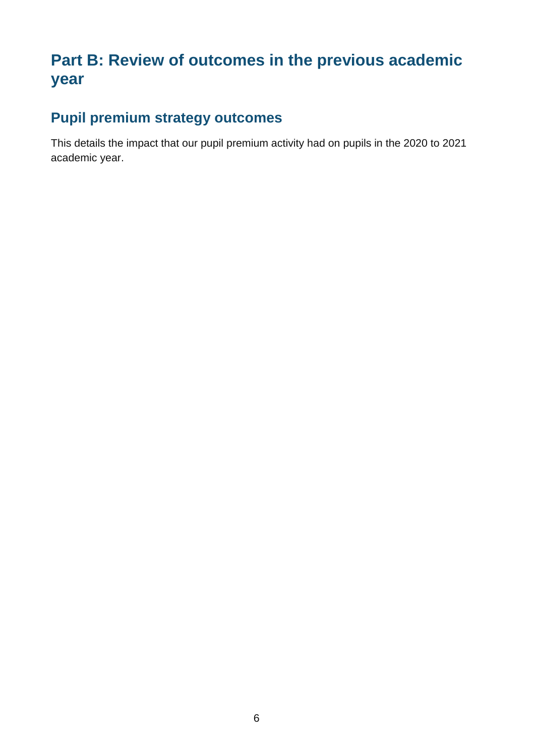## **Part B: Review of outcomes in the previous academic year**

### **Pupil premium strategy outcomes**

This details the impact that our pupil premium activity had on pupils in the 2020 to 2021 academic year.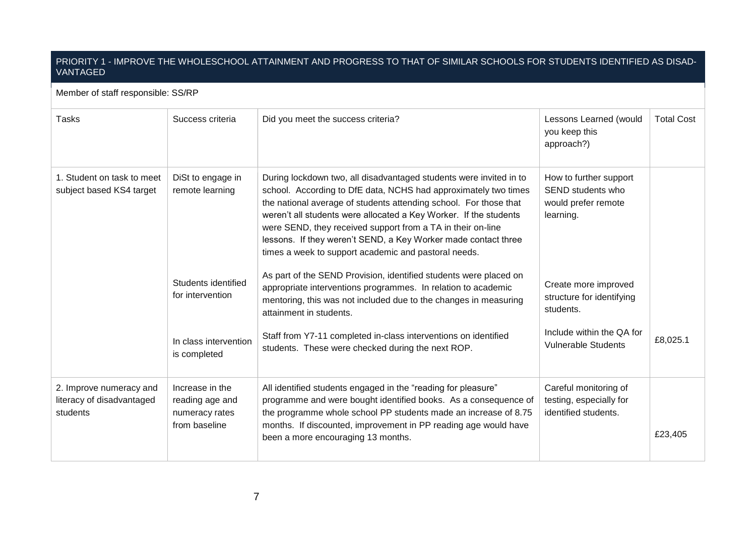#### PRIORITY 1 - IMPROVE THE WHOLESCHOOL ATTAINMENT AND PROGRESS TO THAT OF SIMILAR SCHOOLS FOR STUDENTS IDENTIFIED AS DISAD-VANTAGED

#### Member of staff responsible: SS/RP Tasks Success criteria Did you meet the success criteria? Lessons Learned (would you keep this approach?) Total Cost 1. Student on task to meet subject based KS4 target DiSt to engage in remote learning Students identified for intervention In class intervention is completed During lockdown two, all disadvantaged students were invited in to school. According to DfE data, NCHS had approximately two times the national average of students attending school. For those that weren't all students were allocated a Key Worker. If the students were SEND, they received support from a TA in their on-line lessons. If they weren't SEND, a Key Worker made contact three times a week to support academic and pastoral needs. As part of the SEND Provision, identified students were placed on appropriate interventions programmes. In relation to academic mentoring, this was not included due to the changes in measuring attainment in students. Staff from Y7-11 completed in-class interventions on identified students. These were checked during the next ROP. How to further support SEND students who would prefer remote learning. Create more improved structure for identifying students. Include within the QA for Vulnerable Students £8,025.1 2. Improve numeracy and literacy of disadvantaged students Increase in the reading age and numeracy rates from baseline All identified students engaged in the "reading for pleasure" programme and were bought identified books. As a consequence of the programme whole school PP students made an increase of 8.75 months. If discounted, improvement in PP reading age would have been a more encouraging 13 months. Careful monitoring of testing, especially for identified students. £23,405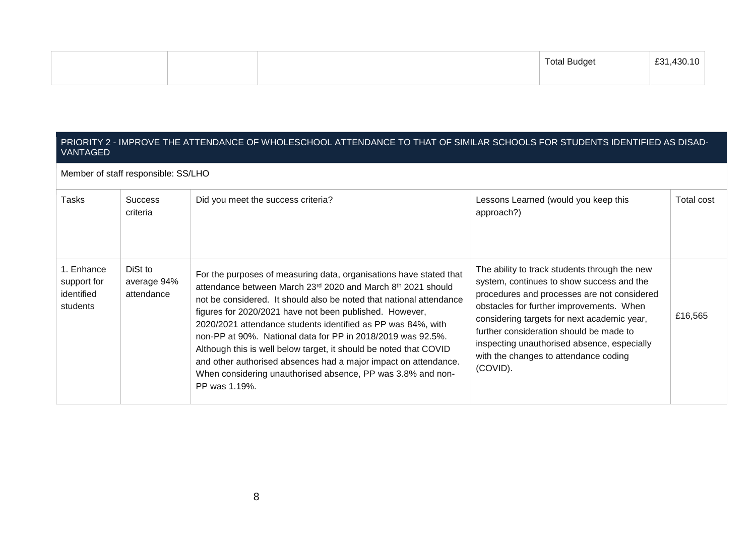|  | Total Budget | £31 430 |
|--|--------------|---------|
|  |              |         |

#### PRIORITY 2 - IMPROVE THE ATTENDANCE OF WHOLESCHOOL ATTENDANCE TO THAT OF SIMILAR SCHOOLS FOR STUDENTS IDENTIFIED AS DISAD-VANTAGED

Member of staff responsible: SS/LHO

| Tasks                                               | <b>Success</b><br>criteria           | Did you meet the success criteria?                                                                                                                                                                                                                                                                                                                                                                                                                                                                                                                                                                                          | Lessons Learned (would you keep this<br>approach?)                                                                                                                                                                                                                                                                                                                                  | Total cost |
|-----------------------------------------------------|--------------------------------------|-----------------------------------------------------------------------------------------------------------------------------------------------------------------------------------------------------------------------------------------------------------------------------------------------------------------------------------------------------------------------------------------------------------------------------------------------------------------------------------------------------------------------------------------------------------------------------------------------------------------------------|-------------------------------------------------------------------------------------------------------------------------------------------------------------------------------------------------------------------------------------------------------------------------------------------------------------------------------------------------------------------------------------|------------|
| 1. Enhance<br>support for<br>identified<br>students | DiSt to<br>average 94%<br>attendance | For the purposes of measuring data, organisations have stated that<br>attendance between March 23rd 2020 and March 8th 2021 should<br>not be considered. It should also be noted that national attendance<br>figures for 2020/2021 have not been published. However,<br>2020/2021 attendance students identified as PP was 84%, with<br>non-PP at 90%. National data for PP in 2018/2019 was 92.5%.<br>Although this is well below target, it should be noted that COVID<br>and other authorised absences had a major impact on attendance.<br>When considering unauthorised absence, PP was 3.8% and non-<br>PP was 1.19%. | The ability to track students through the new<br>system, continues to show success and the<br>procedures and processes are not considered<br>obstacles for further improvements. When<br>considering targets for next academic year,<br>further consideration should be made to<br>inspecting unauthorised absence, especially<br>with the changes to attendance coding<br>(COVID). | £16,565    |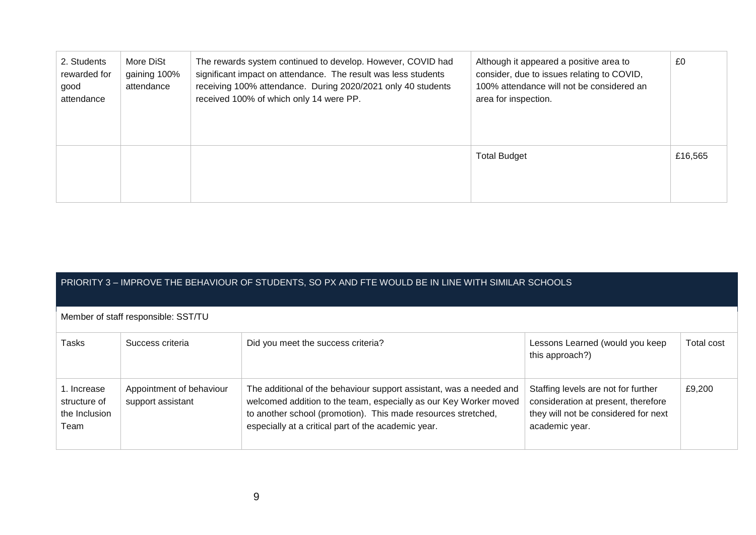| 2. Students<br>rewarded for<br>good<br>attendance | More DiSt<br>gaining 100%<br>attendance | The rewards system continued to develop. However, COVID had<br>significant impact on attendance. The result was less students<br>receiving 100% attendance. During 2020/2021 only 40 students<br>received 100% of which only 14 were PP. | Although it appeared a positive area to<br>consider, due to issues relating to COVID,<br>100% attendance will not be considered an<br>area for inspection. | £0      |
|---------------------------------------------------|-----------------------------------------|------------------------------------------------------------------------------------------------------------------------------------------------------------------------------------------------------------------------------------------|------------------------------------------------------------------------------------------------------------------------------------------------------------|---------|
|                                                   |                                         |                                                                                                                                                                                                                                          | <b>Total Budget</b>                                                                                                                                        | £16,565 |

| PRIORITY 3 – IMPROVE THE BEHAVIOUR OF STUDENTS, SO PX AND FTE WOULD BE IN LINE WITH SIMILAR SCHOOLS |  |
|-----------------------------------------------------------------------------------------------------|--|
|                                                                                                     |  |

Member of staff responsible: SST/TU

| Tasks                                                | Success criteria                              | Did you meet the success criteria?                                                                                                                                                                                                                               | Lessons Learned (would you keep<br>this approach?)                                                                                   | Total cost |
|------------------------------------------------------|-----------------------------------------------|------------------------------------------------------------------------------------------------------------------------------------------------------------------------------------------------------------------------------------------------------------------|--------------------------------------------------------------------------------------------------------------------------------------|------------|
| 1. Increase<br>structure of<br>the Inclusion<br>Team | Appointment of behaviour<br>support assistant | The additional of the behaviour support assistant, was a needed and<br>welcomed addition to the team, especially as our Key Worker moved<br>to another school (promotion). This made resources stretched,<br>especially at a critical part of the academic year. | Staffing levels are not for further<br>consideration at present, therefore<br>they will not be considered for next<br>academic year. | £9,200     |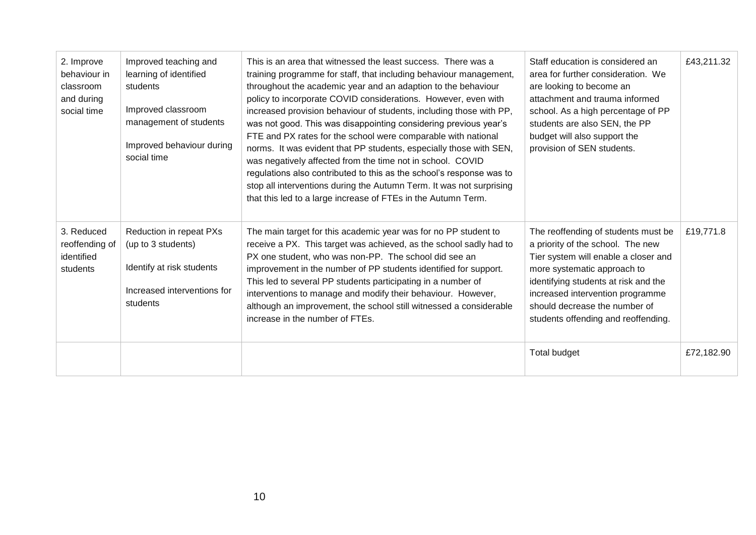| 2. Improve<br>behaviour in<br>classroom<br>and during<br>social time | Improved teaching and<br>learning of identified<br>students<br>Improved classroom<br>management of students<br>Improved behaviour during<br>social time | This is an area that witnessed the least success. There was a<br>training programme for staff, that including behaviour management,<br>throughout the academic year and an adaption to the behaviour<br>policy to incorporate COVID considerations. However, even with<br>increased provision behaviour of students, including those with PP,<br>was not good. This was disappointing considering previous year's<br>FTE and PX rates for the school were comparable with national<br>norms. It was evident that PP students, especially those with SEN,<br>was negatively affected from the time not in school. COVID<br>regulations also contributed to this as the school's response was to<br>stop all interventions during the Autumn Term. It was not surprising<br>that this led to a large increase of FTEs in the Autumn Term. | Staff education is considered an<br>area for further consideration. We<br>are looking to become an<br>attachment and trauma informed<br>school. As a high percentage of PP<br>students are also SEN, the PP<br>budget will also support the<br>provision of SEN students.                           | £43,211.32 |
|----------------------------------------------------------------------|---------------------------------------------------------------------------------------------------------------------------------------------------------|-----------------------------------------------------------------------------------------------------------------------------------------------------------------------------------------------------------------------------------------------------------------------------------------------------------------------------------------------------------------------------------------------------------------------------------------------------------------------------------------------------------------------------------------------------------------------------------------------------------------------------------------------------------------------------------------------------------------------------------------------------------------------------------------------------------------------------------------|-----------------------------------------------------------------------------------------------------------------------------------------------------------------------------------------------------------------------------------------------------------------------------------------------------|------------|
| 3. Reduced<br>reoffending of<br>identified<br>students               | Reduction in repeat PXs<br>(up to 3 students)<br>Identify at risk students<br>Increased interventions for<br>students                                   | The main target for this academic year was for no PP student to<br>receive a PX. This target was achieved, as the school sadly had to<br>PX one student, who was non-PP. The school did see an<br>improvement in the number of PP students identified for support.<br>This led to several PP students participating in a number of<br>interventions to manage and modify their behaviour. However,<br>although an improvement, the school still witnessed a considerable<br>increase in the number of FTEs.                                                                                                                                                                                                                                                                                                                             | The reoffending of students must be<br>a priority of the school. The new<br>Tier system will enable a closer and<br>more systematic approach to<br>identifying students at risk and the<br>increased intervention programme<br>should decrease the number of<br>students offending and reoffending. | £19,771.8  |
|                                                                      |                                                                                                                                                         |                                                                                                                                                                                                                                                                                                                                                                                                                                                                                                                                                                                                                                                                                                                                                                                                                                         | Total budget                                                                                                                                                                                                                                                                                        | £72,182.90 |